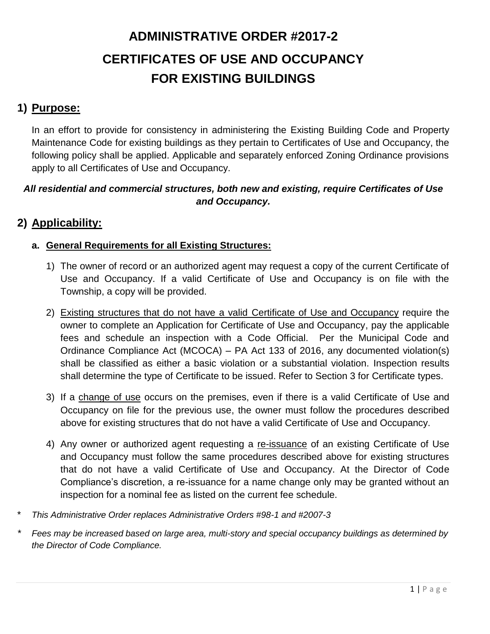## **1) Purpose:**

In an effort to provide for consistency in administering the Existing Building Code and Property Maintenance Code for existing buildings as they pertain to Certificates of Use and Occupancy, the following policy shall be applied. Applicable and separately enforced Zoning Ordinance provisions apply to all Certificates of Use and Occupancy.

#### *All residential and commercial structures, both new and existing, require Certificates of Use and Occupancy.*

## **2) Applicability:**

#### **a. General Requirements for all Existing Structures:**

- 1) The owner of record or an authorized agent may request a copy of the current Certificate of Use and Occupancy. If a valid Certificate of Use and Occupancy is on file with the Township, a copy will be provided.
- 2) Existing structures that do not have a valid Certificate of Use and Occupancy require the owner to complete an Application for Certificate of Use and Occupancy, pay the applicable fees and schedule an inspection with a Code Official. Per the Municipal Code and Ordinance Compliance Act (MCOCA) – PA Act 133 of 2016, any documented violation(s) shall be classified as either a basic violation or a substantial violation. Inspection results shall determine the type of Certificate to be issued. Refer to Section 3 for Certificate types.
- 3) If a change of use occurs on the premises, even if there is a valid Certificate of Use and Occupancy on file for the previous use, the owner must follow the procedures described above for existing structures that do not have a valid Certificate of Use and Occupancy.
- 4) Any owner or authorized agent requesting a re-issuance of an existing Certificate of Use and Occupancy must follow the same procedures described above for existing structures that do not have a valid Certificate of Use and Occupancy. At the Director of Code Compliance's discretion, a re-issuance for a name change only may be granted without an inspection for a nominal fee as listed on the current fee schedule.
- \* *This Administrative Order replaces Administrative Orders #98-1 and #2007-3*
- *\* Fees may be increased based on large area, multi-story and special occupancy buildings as determined by the Director of Code Compliance.*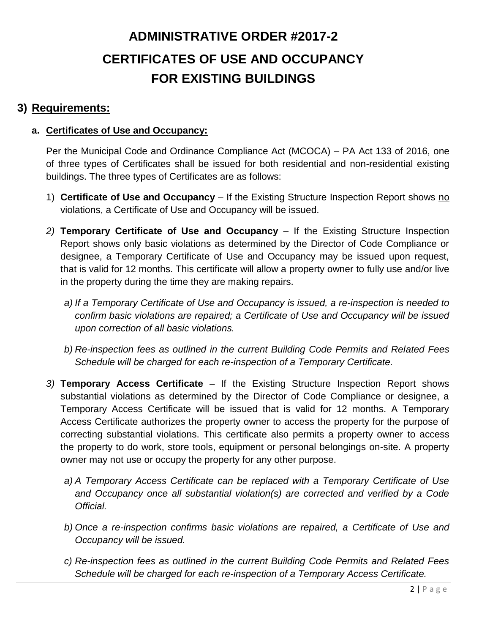### **3) Requirements:**

#### **a. Certificates of Use and Occupancy:**

Per the Municipal Code and Ordinance Compliance Act (MCOCA) – PA Act 133 of 2016, one of three types of Certificates shall be issued for both residential and non-residential existing buildings. The three types of Certificates are as follows:

- 1) **Certificate of Use and Occupancy** If the Existing Structure Inspection Report shows no violations, a Certificate of Use and Occupancy will be issued.
- *2)* **Temporary Certificate of Use and Occupancy** If the Existing Structure Inspection Report shows only basic violations as determined by the Director of Code Compliance or designee, a Temporary Certificate of Use and Occupancy may be issued upon request, that is valid for 12 months. This certificate will allow a property owner to fully use and/or live in the property during the time they are making repairs.
	- *a) If a Temporary Certificate of Use and Occupancy is issued, a re-inspection is needed to confirm basic violations are repaired; a Certificate of Use and Occupancy will be issued upon correction of all basic violations.*
	- *b) Re-inspection fees as outlined in the current Building Code Permits and Related Fees Schedule will be charged for each re-inspection of a Temporary Certificate.*
- *3)* **Temporary Access Certificate** If the Existing Structure Inspection Report shows substantial violations as determined by the Director of Code Compliance or designee, a Temporary Access Certificate will be issued that is valid for 12 months. A Temporary Access Certificate authorizes the property owner to access the property for the purpose of correcting substantial violations. This certificate also permits a property owner to access the property to do work, store tools, equipment or personal belongings on-site. A property owner may not use or occupy the property for any other purpose.
	- *a) A Temporary Access Certificate can be replaced with a Temporary Certificate of Use and Occupancy once all substantial violation(s) are corrected and verified by a Code Official.*
	- *b) Once a re-inspection confirms basic violations are repaired, a Certificate of Use and Occupancy will be issued.*
	- *c) Re-inspection fees as outlined in the current Building Code Permits and Related Fees Schedule will be charged for each re-inspection of a Temporary Access Certificate.*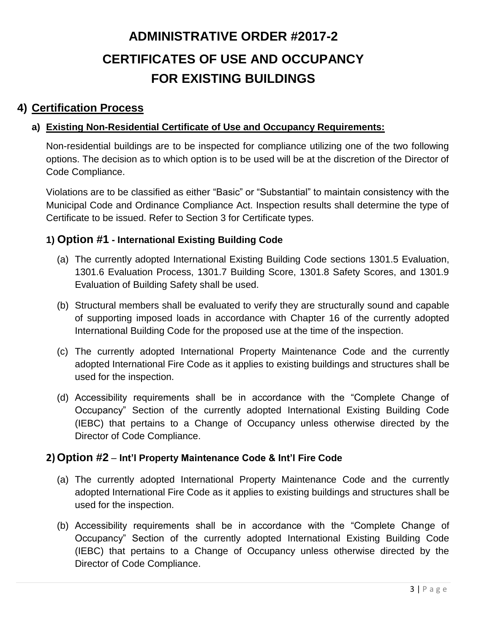### **4) Certification Process**

### **a) Existing Non-Residential Certificate of Use and Occupancy Requirements:**

Non-residential buildings are to be inspected for compliance utilizing one of the two following options. The decision as to which option is to be used will be at the discretion of the Director of Code Compliance.

Violations are to be classified as either "Basic" or "Substantial" to maintain consistency with the Municipal Code and Ordinance Compliance Act. Inspection results shall determine the type of Certificate to be issued. Refer to Section 3 for Certificate types.

### **1) Option #1 - International Existing Building Code**

- (a) The currently adopted International Existing Building Code sections 1301.5 Evaluation, 1301.6 Evaluation Process, 1301.7 Building Score, 1301.8 Safety Scores, and 1301.9 Evaluation of Building Safety shall be used.
- (b) Structural members shall be evaluated to verify they are structurally sound and capable of supporting imposed loads in accordance with Chapter 16 of the currently adopted International Building Code for the proposed use at the time of the inspection.
- (c) The currently adopted International Property Maintenance Code and the currently adopted International Fire Code as it applies to existing buildings and structures shall be used for the inspection.
- (d) Accessibility requirements shall be in accordance with the "Complete Change of Occupancy" Section of the currently adopted International Existing Building Code (IEBC) that pertains to a Change of Occupancy unless otherwise directed by the Director of Code Compliance.

### **2)Option #2** – **Int'l Property Maintenance Code & Int'l Fire Code**

- (a) The currently adopted International Property Maintenance Code and the currently adopted International Fire Code as it applies to existing buildings and structures shall be used for the inspection.
- (b) Accessibility requirements shall be in accordance with the "Complete Change of Occupancy" Section of the currently adopted International Existing Building Code (IEBC) that pertains to a Change of Occupancy unless otherwise directed by the Director of Code Compliance.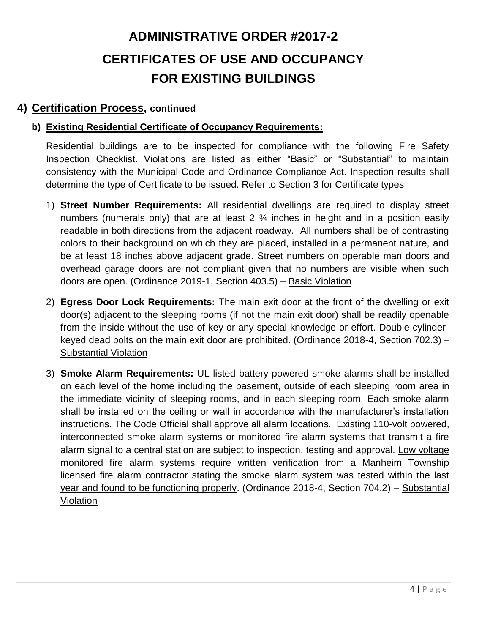### **4) Certification Process, continued**

#### **b) Existing Residential Certificate of Occupancy Requirements:**

Residential buildings are to be inspected for compliance with the following Fire Safety Inspection Checklist. Violations are listed as either "Basic" or "Substantial" to maintain consistency with the Municipal Code and Ordinance Compliance Act. Inspection results shall determine the type of Certificate to be issued. Refer to Section 3 for Certificate types

- 1) **Street Number Requirements:** All residential dwellings are required to display street numbers (numerals only) that are at least 2 ¾ inches in height and in a position easily readable in both directions from the adjacent roadway. All numbers shall be of contrasting colors to their background on which they are placed, installed in a permanent nature, and be at least 18 inches above adjacent grade. Street numbers on operable man doors and overhead garage doors are not compliant given that no numbers are visible when such doors are open. (Ordinance 2019-1, Section 403.5) – Basic Violation
- 2) **Egress Door Lock Requirements:** The main exit door at the front of the dwelling or exit door(s) adjacent to the sleeping rooms (if not the main exit door) shall be readily openable from the inside without the use of key or any special knowledge or effort. Double cylinderkeyed dead bolts on the main exit door are prohibited. (Ordinance 2018-4, Section 702.3) – Substantial Violation
- 3) **Smoke Alarm Requirements:** UL listed battery powered smoke alarms shall be installed on each level of the home including the basement, outside of each sleeping room area in the immediate vicinity of sleeping rooms, and in each sleeping room. Each smoke alarm shall be installed on the ceiling or wall in accordance with the manufacturer's installation instructions. The Code Official shall approve all alarm locations. Existing 110-volt powered, interconnected smoke alarm systems or monitored fire alarm systems that transmit a fire alarm signal to a central station are subject to inspection, testing and approval. Low voltage monitored fire alarm systems require written verification from a Manheim Township licensed fire alarm contractor stating the smoke alarm system was tested within the last year and found to be functioning properly. (Ordinance 2018-4, Section 704.2) – Substantial Violation